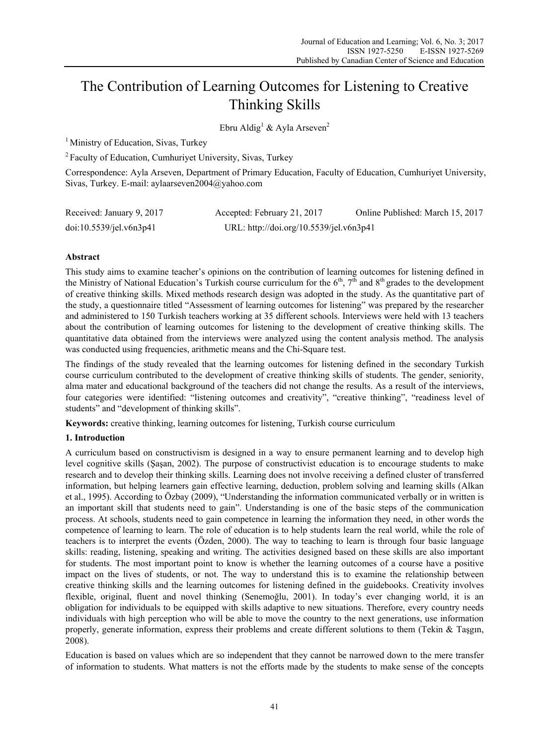# The Contribution of Learning Outcomes for Listening to Creative Thinking Skills

Ebru Aldig<sup>1</sup> & Ayla Arseven<sup>2</sup>

<sup>1</sup> Ministry of Education, Sivas, Turkey

2 Faculty of Education, Cumhuriyet University, Sivas, Turkey

Correspondence: Ayla Arseven, Department of Primary Education, Faculty of Education, Cumhuriyet University, Sivas, Turkey. E-mail: aylaarseven2004@yahoo.com

| Received: January 9, 2017 | Accepted: February 21, 2017             | Online Published: March 15, 2017 |
|---------------------------|-----------------------------------------|----------------------------------|
| doi:10.5539/jel.v6n3p41   | URL: http://doi.org/10.5539/jel.v6n3p41 |                                  |

# **Abstract**

This study aims to examine teacher's opinions on the contribution of learning outcomes for listening defined in the Ministry of National Education's Turkish course curriculum for the  $6<sup>th</sup>$ ,  $7<sup>th</sup>$  and  $8<sup>th</sup>$  grades to the development of creative thinking skills. Mixed methods research design was adopted in the study. As the quantitative part of the study, a questionnaire titled "Assessment of learning outcomes for listening" was prepared by the researcher and administered to 150 Turkish teachers working at 35 different schools. Interviews were held with 13 teachers about the contribution of learning outcomes for listening to the development of creative thinking skills. The quantitative data obtained from the interviews were analyzed using the content analysis method. The analysis was conducted using frequencies, arithmetic means and the Chi-Square test.

The findings of the study revealed that the learning outcomes for listening defined in the secondary Turkish course curriculum contributed to the development of creative thinking skills of students. The gender, seniority, alma mater and educational background of the teachers did not change the results. As a result of the interviews, four categories were identified: "listening outcomes and creativity", "creative thinking", "readiness level of students" and "development of thinking skills".

**Keywords:** creative thinking, learning outcomes for listening, Turkish course curriculum

# **1. Introduction**

A curriculum based on constructivism is designed in a way to ensure permanent learning and to develop high level cognitive skills (Şaşan, 2002). The purpose of constructivist education is to encourage students to make research and to develop their thinking skills. Learning does not involve receiving a defined cluster of transferred information, but helping learners gain effective learning, deduction, problem solving and learning skills (Alkan et al., 1995). According to Özbay (2009), "Understanding the information communicated verbally or in written is an important skill that students need to gain". Understanding is one of the basic steps of the communication process. At schools, students need to gain competence in learning the information they need, in other words the competence of learning to learn. The role of education is to help students learn the real world, while the role of teachers is to interpret the events (Özden, 2000). The way to teaching to learn is through four basic language skills: reading, listening, speaking and writing. The activities designed based on these skills are also important for students. The most important point to know is whether the learning outcomes of a course have a positive impact on the lives of students, or not. The way to understand this is to examine the relationship between creative thinking skills and the learning outcomes for listening defined in the guidebooks. Creativity involves flexible, original, fluent and novel thinking (Senemoğlu, 2001). In today's ever changing world, it is an obligation for individuals to be equipped with skills adaptive to new situations. Therefore, every country needs individuals with high perception who will be able to move the country to the next generations, use information properly, generate information, express their problems and create different solutions to them (Tekin & Taşgın, 2008).

Education is based on values which are so independent that they cannot be narrowed down to the mere transfer of information to students. What matters is not the efforts made by the students to make sense of the concepts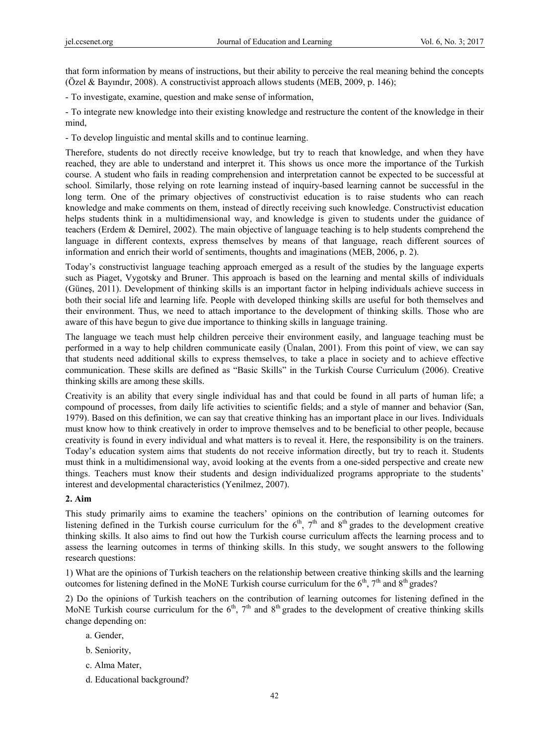that form information by means of instructions, but their ability to perceive the real meaning behind the concepts (Özel & Bayındır, 2008). A constructivist approach allows students (MEB, 2009, p. 146);

- To investigate, examine, question and make sense of information,

- To integrate new knowledge into their existing knowledge and restructure the content of the knowledge in their mind,

- To develop linguistic and mental skills and to continue learning.

Therefore, students do not directly receive knowledge, but try to reach that knowledge, and when they have reached, they are able to understand and interpret it. This shows us once more the importance of the Turkish course. A student who fails in reading comprehension and interpretation cannot be expected to be successful at school. Similarly, those relying on rote learning instead of inquiry-based learning cannot be successful in the long term. One of the primary objectives of constructivist education is to raise students who can reach knowledge and make comments on them, instead of directly receiving such knowledge. Constructivist education helps students think in a multidimensional way, and knowledge is given to students under the guidance of teachers (Erdem & Demirel, 2002). The main objective of language teaching is to help students comprehend the language in different contexts, express themselves by means of that language, reach different sources of information and enrich their world of sentiments, thoughts and imaginations (MEB, 2006, p. 2).

Today's constructivist language teaching approach emerged as a result of the studies by the language experts such as Piaget, Vygotsky and Bruner. This approach is based on the learning and mental skills of individuals (Güneş, 2011). Development of thinking skills is an important factor in helping individuals achieve success in both their social life and learning life. People with developed thinking skills are useful for both themselves and their environment. Thus, we need to attach importance to the development of thinking skills. Those who are aware of this have begun to give due importance to thinking skills in language training.

The language we teach must help children perceive their environment easily, and language teaching must be performed in a way to help children communicate easily (Ünalan, 2001). From this point of view, we can say that students need additional skills to express themselves, to take a place in society and to achieve effective communication. These skills are defined as "Basic Skills" in the Turkish Course Curriculum (2006). Creative thinking skills are among these skills.

Creativity is an ability that every single individual has and that could be found in all parts of human life; a compound of processes, from daily life activities to scientific fields; and a style of manner and behavior (San, 1979). Based on this definition, we can say that creative thinking has an important place in our lives. Individuals must know how to think creatively in order to improve themselves and to be beneficial to other people, because creativity is found in every individual and what matters is to reveal it. Here, the responsibility is on the trainers. Today's education system aims that students do not receive information directly, but try to reach it. Students must think in a multidimensional way, avoid looking at the events from a one-sided perspective and create new things. Teachers must know their students and design individualized programs appropriate to the students' interest and developmental characteristics (Yenilmez, 2007).

## **2. Aim**

This study primarily aims to examine the teachers' opinions on the contribution of learning outcomes for listening defined in the Turkish course curriculum for the  $6<sup>th</sup>$ ,  $7<sup>th</sup>$  and  $8<sup>th</sup>$  grades to the development creative thinking skills. It also aims to find out how the Turkish course curriculum affects the learning process and to assess the learning outcomes in terms of thinking skills. In this study, we sought answers to the following research questions:

1) What are the opinions of Turkish teachers on the relationship between creative thinking skills and the learning outcomes for listening defined in the MoNE Turkish course curriculum for the  $6<sup>th</sup>$ , 7<sup>th</sup> and  $8<sup>th</sup>$  grades?

2) Do the opinions of Turkish teachers on the contribution of learning outcomes for listening defined in the MoNE Turkish course curriculum for the  $6<sup>th</sup>$ ,  $7<sup>th</sup>$  and  $8<sup>th</sup>$  grades to the development of creative thinking skills change depending on:

- a. Gender,
- b. Seniority,
- c. Alma Mater,
- d. Educational background?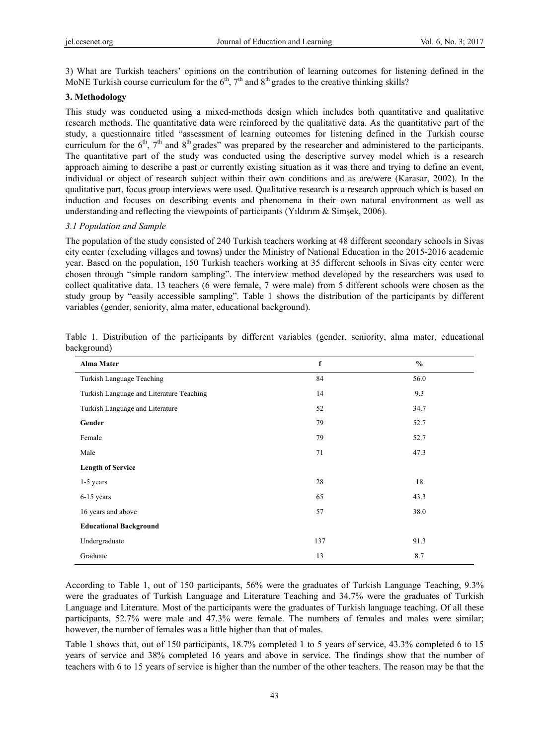3) What are Turkish teachers' opinions on the contribution of learning outcomes for listening defined in the MoNE Turkish course curriculum for the  $6<sup>th</sup>$ ,  $7<sup>th</sup>$  and  $8<sup>th</sup>$  grades to the creative thinking skills?

# **3. Methodology**

This study was conducted using a mixed-methods design which includes both quantitative and qualitative research methods. The quantitative data were reinforced by the qualitative data. As the quantitative part of the study, a questionnaire titled "assessment of learning outcomes for listening defined in the Turkish course curriculum for the  $6<sup>th</sup>$ ,  $7<sup>th</sup>$  and  $8<sup>th</sup>$  grades" was prepared by the researcher and administered to the participants. The quantitative part of the study was conducted using the descriptive survey model which is a research approach aiming to describe a past or currently existing situation as it was there and trying to define an event, individual or object of research subject within their own conditions and as are/were (Karasar, 2002). In the qualitative part, focus group interviews were used. Qualitative research is a research approach which is based on induction and focuses on describing events and phenomena in their own natural environment as well as understanding and reflecting the viewpoints of participants (Yildırım  $\&$  Simsek, 2006).

# *3.1 Population and Sample*

The population of the study consisted of 240 Turkish teachers working at 48 different secondary schools in Sivas city center (excluding villages and towns) under the Ministry of National Education in the 2015-2016 academic year. Based on the population, 150 Turkish teachers working at 35 different schools in Sivas city center were chosen through "simple random sampling". The interview method developed by the researchers was used to collect qualitative data. 13 teachers (6 were female, 7 were male) from 5 different schools were chosen as the study group by "easily accessible sampling". Table 1 shows the distribution of the participants by different variables (gender, seniority, alma mater, educational background).

| Alma Mater                               | f   | $\frac{6}{6}$ |
|------------------------------------------|-----|---------------|
| Turkish Language Teaching                | 84  | 56.0          |
| Turkish Language and Literature Teaching | 14  | 9.3           |
| Turkish Language and Literature          | 52  | 34.7          |
| Gender                                   | 79  | 52.7          |
| Female                                   | 79  | 52.7          |
| Male                                     | 71  | 47.3          |
| <b>Length of Service</b>                 |     |               |
| 1-5 years                                | 28  | 18            |
| $6-15$ years                             | 65  | 43.3          |
| 16 years and above                       | 57  | 38.0          |
| <b>Educational Background</b>            |     |               |
| Undergraduate                            | 137 | 91.3          |
| Graduate                                 | 13  | 8.7           |

Table 1. Distribution of the participants by different variables (gender, seniority, alma mater, educational background)

According to Table 1, out of 150 participants, 56% were the graduates of Turkish Language Teaching, 9.3% were the graduates of Turkish Language and Literature Teaching and 34.7% were the graduates of Turkish Language and Literature. Most of the participants were the graduates of Turkish language teaching. Of all these participants, 52.7% were male and 47.3% were female. The numbers of females and males were similar; however, the number of females was a little higher than that of males.

Table 1 shows that, out of 150 participants, 18.7% completed 1 to 5 years of service, 43.3% completed 6 to 15 years of service and 38% completed 16 years and above in service. The findings show that the number of teachers with 6 to 15 years of service is higher than the number of the other teachers. The reason may be that the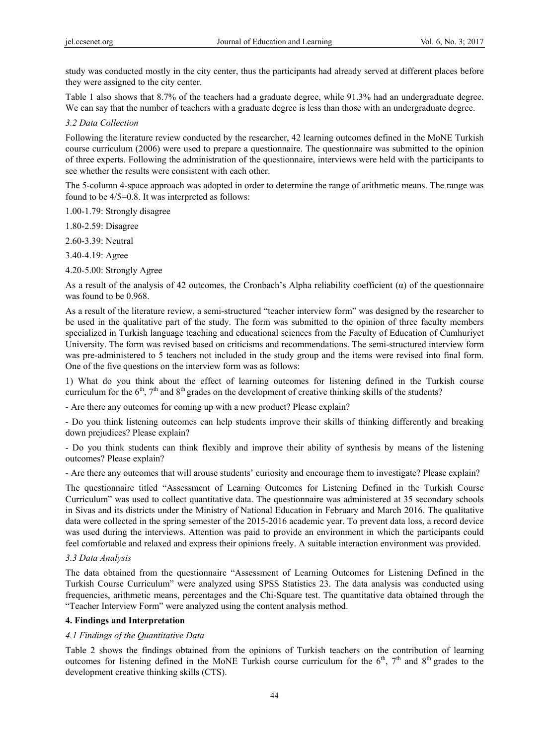study was conducted mostly in the city center, thus the participants had already served at different places before they were assigned to the city center.

Table 1 also shows that 8.7% of the teachers had a graduate degree, while 91.3% had an undergraduate degree. We can say that the number of teachers with a graduate degree is less than those with an undergraduate degree.

# *3.2 Data Collection*

Following the literature review conducted by the researcher, 42 learning outcomes defined in the MoNE Turkish course curriculum (2006) were used to prepare a questionnaire. The questionnaire was submitted to the opinion of three experts. Following the administration of the questionnaire, interviews were held with the participants to see whether the results were consistent with each other.

The 5-column 4-space approach was adopted in order to determine the range of arithmetic means. The range was found to be 4/5=0.8. It was interpreted as follows:

1.00-1.79: Strongly disagree

1.80-2.59: Disagree

2.60-3.39: Neutral

3.40-4.19: Agree

4.20-5.00: Strongly Agree

As a result of the analysis of 42 outcomes, the Cronbach's Alpha reliability coefficient  $(\alpha)$  of the questionnaire was found to be 0.968.

As a result of the literature review, a semi-structured "teacher interview form" was designed by the researcher to be used in the qualitative part of the study. The form was submitted to the opinion of three faculty members specialized in Turkish language teaching and educational sciences from the Faculty of Education of Cumhuriyet University. The form was revised based on criticisms and recommendations. The semi-structured interview form was pre-administered to 5 teachers not included in the study group and the items were revised into final form. One of the five questions on the interview form was as follows:

1) What do you think about the effect of learning outcomes for listening defined in the Turkish course curriculum for the  $6<sup>th</sup>$ ,  $7<sup>th</sup>$  and  $8<sup>th</sup>$  grades on the development of creative thinking skills of the students?

- Are there any outcomes for coming up with a new product? Please explain?

- Do you think listening outcomes can help students improve their skills of thinking differently and breaking down prejudices? Please explain?

- Do you think students can think flexibly and improve their ability of synthesis by means of the listening outcomes? Please explain?

- Are there any outcomes that will arouse students' curiosity and encourage them to investigate? Please explain?

The questionnaire titled "Assessment of Learning Outcomes for Listening Defined in the Turkish Course Curriculum" was used to collect quantitative data. The questionnaire was administered at 35 secondary schools in Sivas and its districts under the Ministry of National Education in February and March 2016. The qualitative data were collected in the spring semester of the 2015-2016 academic year. To prevent data loss, a record device was used during the interviews. Attention was paid to provide an environment in which the participants could feel comfortable and relaxed and express their opinions freely. A suitable interaction environment was provided.

# *3.3 Data Analysis*

The data obtained from the questionnaire "Assessment of Learning Outcomes for Listening Defined in the Turkish Course Curriculum" were analyzed using SPSS Statistics 23. The data analysis was conducted using frequencies, arithmetic means, percentages and the Chi-Square test. The quantitative data obtained through the "Teacher Interview Form" were analyzed using the content analysis method.

# **4. Findings and Interpretation**

## *4.1 Findings of the Quantitative Data*

Table 2 shows the findings obtained from the opinions of Turkish teachers on the contribution of learning outcomes for listening defined in the MoNE Turkish course curriculum for the  $6<sup>th</sup>$ ,  $7<sup>th</sup>$  and  $8<sup>th</sup>$  grades to the development creative thinking skills (CTS).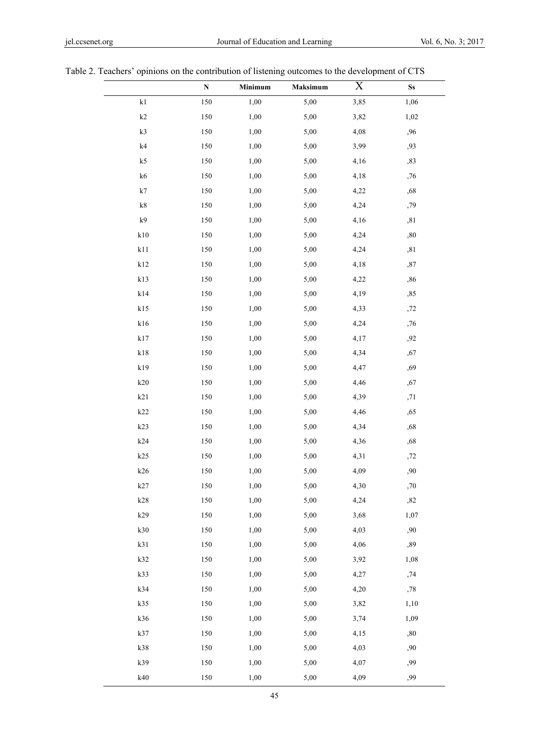|                | $\mathbf N$ | Minimum | Maksimum | $\overline{\text{X}}$ | $\mathbf{S}\mathbf{s}$ |
|----------------|-------------|---------|----------|-----------------------|------------------------|
| k1             | 150         | 1,00    | 5,00     | 3,85                  | 1,06                   |
| k2             | 150         | 1,00    | 5,00     | 3,82                  | 1,02                   |
| k3             | 150         | 1,00    | 5,00     | 4,08                  | ,96                    |
| k4             | 150         | 1,00    | 5,00     | 3,99                  | ,93                    |
| k5             | 150         | 1,00    | 5,00     | 4,16                  | ,83                    |
| $k6$           | 150         | 1,00    | 5,00     | 4,18                  | ,76                    |
| k7             | 150         | 1,00    | 5,00     | 4,22                  | ,68                    |
| $\rm k8$       | 150         | 1,00    | 5,00     | 4,24                  | ,79                    |
| $k9$           | 150         | 1,00    | 5,00     | 4,16                  | ,81                    |
| $k10$          | 150         | 1,00    | 5,00     | 4,24                  | ,80                    |
| $k11$          | 150         | 1,00    | 5,00     | 4,24                  | ,81                    |
| $\rm k12$      | 150         | 1,00    | 5,00     | 4,18                  | $,87$                  |
| k13            | 150         | 1,00    | 5,00     | 4,22                  | ,86                    |
| $k14$          | 150         | 1,00    | 5,00     | 4,19                  | ,85                    |
| $k15$          | 150         | 1,00    | 5,00     | 4,33                  | , 72                   |
| k16            | 150         | 1,00    | 5,00     | 4,24                  | ,76                    |
| $\rm k17$      | 150         | 1,00    | 5,00     | 4,17                  | ,92                    |
| $\mathbf{k}18$ | 150         | 1,00    | 5,00     | 4,34                  | ,67                    |
| k19            | 150         | 1,00    | 5,00     | 4,47                  | ,69                    |
| k20            | 150         | 1,00    | 5,00     | 4,46                  | ,67                    |
| $k21$          | 150         | 1,00    | 5,00     | 4,39                  | ,71                    |
| k22            | 150         | 1,00    | 5,00     | 4,46                  | ,65                    |
| k23            | 150         | 1,00    | 5,00     | 4,34                  | ,68                    |
| k24            | 150         | 1,00    | 5,00     | 4,36                  | ,68                    |
| k25            | 150         | 1,00    | 5,00     | 4,31                  | $,72$                  |
| k26            | 150         | 1,00    | 5,00     | 4,09                  | ,90                    |
| $\rm k27$      | 150         | 1,00    | 5,00     | 4,30                  | ,70                    |
| k28            | 150         | 1,00    | 5,00     | 4,24                  | ,82                    |
| k29            | 150         | 1,00    | 5,00     | 3,68                  | 1,07                   |
| k30            | 150         | 1,00    | 5,00     | 4,03                  | ,90                    |
| k31            | 150         | 1,00    | 5,00     | 4,06                  | ,89                    |
| k32            | 150         | 1,00    | 5,00     | 3,92                  | 1,08                   |
| k33            | 150         | 1,00    | 5,00     | 4,27                  | ,74                    |
| k34            | 150         | 1,00    | 5,00     | 4,20                  | ,78                    |
| k35            | 150         | 1,00    | 5,00     | 3,82                  | 1,10                   |
| k36            | 150         | 1,00    | 5,00     | 3,74                  | 1,09                   |
| k37            | 150         | 1,00    | 5,00     | 4,15                  | ,80                    |
| k38            | 150         | 1,00    | 5,00     | 4,03                  | ,90                    |
| k39            | 150         | 1,00    | 5,00     | 4,07                  | ,99                    |
| $\mbox{k}40$   | 150         | 1,00    | 5,00     | 4,09                  | ,99                    |

Table 2. Teachers' opinions on the contribution of listening outcomes to the development of CTS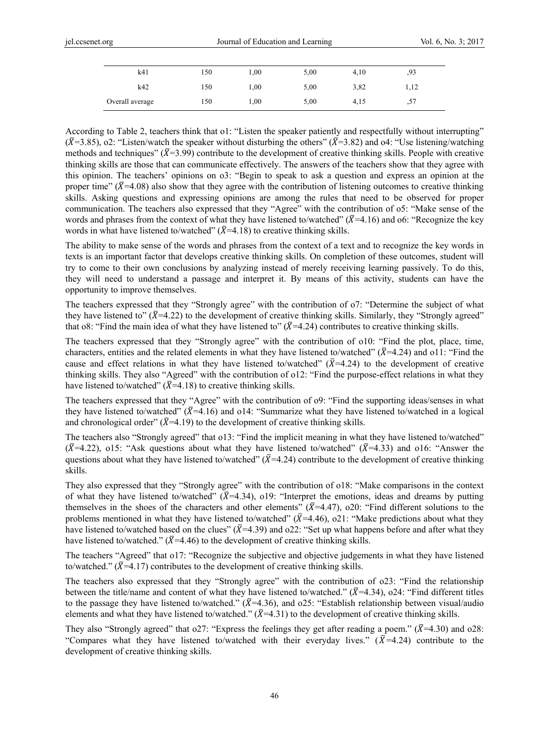| k41             | 150 | 00.1 | 5,00 | 4,10 | ,93  |  |
|-----------------|-----|------|------|------|------|--|
| k42             | 150 | 1,00 | 5,00 | 3,82 | 1,12 |  |
| Overall average | 150 | 00.1 | 5,00 | 4,15 | ,57  |  |

According to Table 2, teachers think that o1: "Listen the speaker patiently and respectfully without interrupting"  $({\overline{X}}=3.85)$ , o2: "Listen/watch the speaker without disturbing the others" ( ${\overline{X}}=3.82$ ) and o4: "Use listening/watching methods and techniques" ( $\bar{X}=3.99$ ) contribute to the development of creative thinking skills. People with creative thinking skills are those that can communicate effectively. The answers of the teachers show that they agree with this opinion. The teachers' opinions on o3: "Begin to speak to ask a question and express an opinion at the proper time" ( $\bar{X}$ =4.08) also show that they agree with the contribution of listening outcomes to creative thinking skills. Asking questions and expressing opinions are among the rules that need to be observed for proper communication. The teachers also expressed that they "Agree" with the contribution of o5: "Make sense of the words and phrases from the context of what they have listened to/watched" ( $\bar{X}$ =4.16) and 06: "Recognize the key words in what have listened to/watched" ( $\bar{X}$ =4.18) to creative thinking skills.

The ability to make sense of the words and phrases from the context of a text and to recognize the key words in texts is an important factor that develops creative thinking skills. On completion of these outcomes, student will try to come to their own conclusions by analyzing instead of merely receiving learning passively. To do this, they will need to understand a passage and interpret it. By means of this activity, students can have the opportunity to improve themselves.

The teachers expressed that they "Strongly agree" with the contribution of o7: "Determine the subject of what they have listened to" ( $\bar{X}$ =4.22) to the development of creative thinking skills. Similarly, they "Strongly agreed" that 08: "Find the main idea of what they have listened to"  $({\overline{X}}=4.24)$  contributes to creative thinking skills.

The teachers expressed that they "Strongly agree" with the contribution of o10: "Find the plot, place, time, characters, entities and the related elements in what they have listened to/watched" ( $\bar{X}$ =4.24) and o11: "Find the cause and effect relations in what they have listened to/watched" ( $\bar{X}$ =4.24) to the development of creative thinking skills. They also "Agreed" with the contribution of o12: "Find the purpose-effect relations in what they have listened to/watched" ( $\bar{X}$ =4.18) to creative thinking skills.

The teachers expressed that they "Agree" with the contribution of o9: "Find the supporting ideas/senses in what they have listened to/watched" ( $\bar{X}$ =4.16) and 014: "Summarize what they have listened to/watched in a logical and chronological order" ( $\bar{X}$ =4.19) to the development of creative thinking skills.

The teachers also "Strongly agreed" that o13: "Find the implicit meaning in what they have listened to/watched"  $({\overline{X}}=4.22)$ , o15: "Ask questions about what they have listened to/watched" ( ${\overline{X}}=4.33$ ) and o16: "Answer the questions about what they have listened to/watched" ( $\bar{X}=4.24$ ) contribute to the development of creative thinking skills.

They also expressed that they "Strongly agree" with the contribution of o18: "Make comparisons in the context of what they have listened to/watched"  $(\bar{X}=4.34)$ , o19: "Interpret the emotions, ideas and dreams by putting themselves in the shoes of the characters and other elements" ( $\bar{X}$ =4.47), o20: "Find different solutions to the problems mentioned in what they have listened to/watched" ( $\overline{X}$ =4.46), o21: "Make predictions about what they have listened to/watched based on the clues" ( $\bar{X}$ =4.39) and o22: "Set up what happens before and after what they have listened to/watched."  $(\overline{X}=4.46)$  to the development of creative thinking skills.

The teachers "Agreed" that o17: "Recognize the subjective and objective judgements in what they have listened to/watched." ( $\bar{X}$ =4.17) contributes to the development of creative thinking skills.

The teachers also expressed that they "Strongly agree" with the contribution of o23: "Find the relationship between the title/name and content of what they have listened to/watched." ( $\bar{X}$ =4.34), o24: "Find different titles to the passage they have listened to/watched." ( $\overline{X}$ =4.36), and o25: "Establish relationship between visual/audio elements and what they have listened to/watched." ( $\overline{X}$ =4.31) to the development of creative thinking skills.

They also "Strongly agreed" that o27: "Express the feelings they get after reading a poem." ( $\bar{X}$ =4.30) and o28: "Compares what they have listened to/watched with their everyday lives." ( $\bar{X}$ =4.24) contribute to the development of creative thinking skills.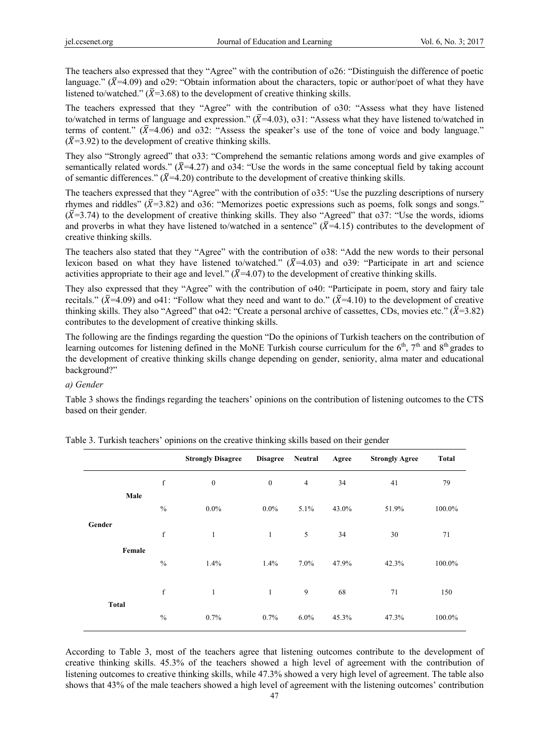The teachers also expressed that they "Agree" with the contribution of o26: "Distinguish the difference of poetic language."  $(\bar{X}=4.09)$  and o29: "Obtain information about the characters, topic or author/poet of what they have listened to/watched." ( $\overline{X}$ =3.68) to the development of creative thinking skills.

The teachers expressed that they "Agree" with the contribution of o30: "Assess what they have listened to/watched in terms of language and expression."  $(\bar{X}=4.03)$ , o31: "Assess what they have listened to/watched in terms of content."  $(\bar{X}=4.06)$  and o32: "Assess the speaker's use of the tone of voice and body language."  $({\overline{X}}=3.92)$  to the development of creative thinking skills.

They also "Strongly agreed" that o33: "Comprehend the semantic relations among words and give examples of semantically related words." ( $\bar{X}$ =4.27) and 034: "Use the words in the same conceptual field by taking account of semantic differences."  $(\bar{X}=4.20)$  contribute to the development of creative thinking skills.

The teachers expressed that they "Agree" with the contribution of o35: "Use the puzzling descriptions of nursery rhymes and riddles" ( $\bar{X}$ =3.82) and o36: "Memorizes poetic expressions such as poems, folk songs and songs."  $(\bar{X}=3.74)$  to the development of creative thinking skills. They also "Agreed" that o37: "Use the words, idioms and proverbs in what they have listened to/watched in a sentence" ( $\bar{X}$ =4.15) contributes to the development of creative thinking skills.

The teachers also stated that they "Agree" with the contribution of o38: "Add the new words to their personal lexicon based on what they have listened to/watched."  $(\bar{X}=4.03)$  and 039: "Participate in art and science activities appropriate to their age and level." ( $\bar{X}$ =4.07) to the development of creative thinking skills.

They also expressed that they "Agree" with the contribution of o40: "Participate in poem, story and fairy tale recitals." ( $\bar{X}$ =4.09) and 041: "Follow what they need and want to do." ( $\bar{X}$ =4.10) to the development of creative thinking skills. They also "Agreed" that o42: "Create a personal archive of cassettes, CDs, movies etc."  $(\bar{X}=3.82)$ contributes to the development of creative thinking skills.

The following are the findings regarding the question "Do the opinions of Turkish teachers on the contribution of learning outcomes for listening defined in the MoNE Turkish course curriculum for the  $6<sup>th</sup>$ ,  $7<sup>th</sup>$  and  $8<sup>th</sup>$  grades to the development of creative thinking skills change depending on gender, seniority, alma mater and educational background?"

#### *a) Gender*

Table 3 shows the findings regarding the teachers' opinions on the contribution of listening outcomes to the CTS based on their gender.

|              |        |               | <b>Strongly Disagree</b> | <b>Disagree</b>  | <b>Neutral</b> | Agree | <b>Strongly Agree</b> | <b>Total</b> |
|--------------|--------|---------------|--------------------------|------------------|----------------|-------|-----------------------|--------------|
|              | Male   | $\mathbf f$   | $\boldsymbol{0}$         | $\boldsymbol{0}$ | $\overline{4}$ | 34    | 41                    | 79           |
| Gender       |        | $\frac{0}{0}$ | $0.0\%$                  | $0.0\%$          | 5.1%           | 43.0% | 51.9%                 | 100.0%       |
|              |        | $\mathbf f$   | $\mathbf{1}$             | $\mathbf{1}$     | 5              | 34    | 30                    | 71           |
|              | Female | $\%$          | 1.4%                     | 1.4%             | $7.0\%$        | 47.9% | 42.3%                 | 100.0%       |
| <b>Total</b> |        | $\mathbf f$   | $\mathbf{1}$             | $\mathbf{1}$     | 9              | 68    | 71                    | 150          |
|              |        | $\frac{0}{0}$ | 0.7%                     | 0.7%             | $6.0\%$        | 45.3% | 47.3%                 | 100.0%       |

Table 3. Turkish teachers' opinions on the creative thinking skills based on their gender

According to Table 3, most of the teachers agree that listening outcomes contribute to the development of creative thinking skills. 45.3% of the teachers showed a high level of agreement with the contribution of listening outcomes to creative thinking skills, while 47.3% showed a very high level of agreement. The table also shows that 43% of the male teachers showed a high level of agreement with the listening outcomes' contribution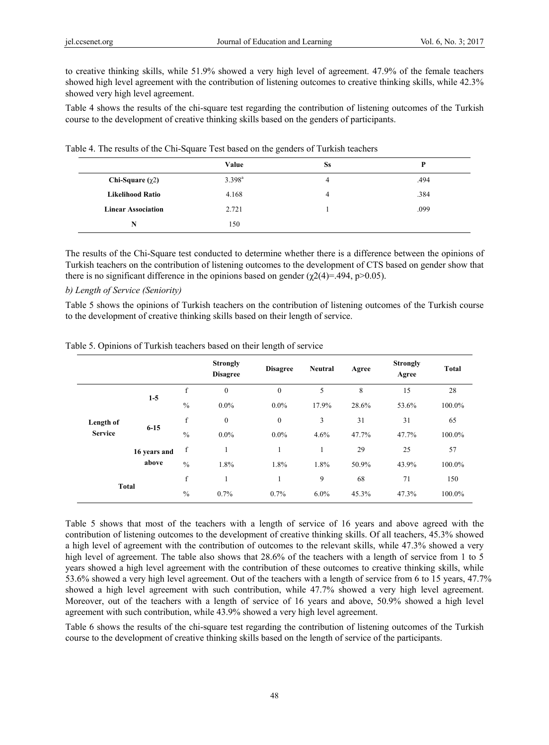to creative thinking skills, while 51.9% showed a very high level of agreement. 47.9% of the female teachers showed high level agreement with the contribution of listening outcomes to creative thinking skills, while 42.3% showed very high level agreement.

Table 4 shows the results of the chi-square test regarding the contribution of listening outcomes of the Turkish course to the development of creative thinking skills based on the genders of participants.

|                           | Value           | <b>Ss</b> | D    |
|---------------------------|-----------------|-----------|------|
| Chi-Square $(\chi^2)$     | $3.398^{\rm a}$ | 4         | .494 |
| <b>Likelihood Ratio</b>   | 4.168           | 4         | .384 |
| <b>Linear Association</b> | 2.721           |           | .099 |
| N                         | 150             |           |      |

Table 4. The results of the Chi-Square Test based on the genders of Turkish teachers

The results of the Chi-Square test conducted to determine whether there is a difference between the opinions of Turkish teachers on the contribution of listening outcomes to the development of CTS based on gender show that there is no significant difference in the opinions based on gender ( $\chi$ 2(4)=.494, p>0.05).

# *b) Length of Service (Seniority)*

Table 5 shows the opinions of Turkish teachers on the contribution of listening outcomes of the Turkish course to the development of creative thinking skills based on their length of service.

|                |                       |               | <b>Strongly</b><br><b>Disagree</b> | <b>Disagree</b>  | <b>Neutral</b> | Agree | <b>Strongly</b><br>Agree | <b>Total</b> |
|----------------|-----------------------|---------------|------------------------------------|------------------|----------------|-------|--------------------------|--------------|
|                |                       | f             | $\mathbf{0}$                       | $\mathbf{0}$     | 5              | 8     | 15                       | 28           |
|                | $1-5$                 | $\%$          | $0.0\%$                            | $0.0\%$          | 17.9%          | 28.6% | 53.6%                    | 100.0%       |
| Length of      | $6 - 15$              | f             | $\boldsymbol{0}$                   | $\boldsymbol{0}$ | 3              | 31    | 31                       | 65           |
| <b>Service</b> |                       | $\frac{0}{0}$ | $0.0\%$                            | $0.0\%$          | 4.6%           | 47.7% | 47.7%                    | 100.0%       |
|                | 16 years and<br>above | f             | 1                                  | 1                | 1              | 29    | 25                       | 57           |
|                |                       | $\frac{0}{0}$ | 1.8%                               | 1.8%             | 1.8%           | 50.9% | 43.9%                    | 100.0%       |
|                | <b>Total</b>          | f             | 1                                  | -1               | 9              | 68    | 71                       | 150          |
|                |                       | $\%$          | 0.7%                               | 0.7%             | $6.0\%$        | 45.3% | 47.3%                    | 100.0%       |

Table 5. Opinions of Turkish teachers based on their length of service

Table 5 shows that most of the teachers with a length of service of 16 years and above agreed with the contribution of listening outcomes to the development of creative thinking skills. Of all teachers, 45.3% showed a high level of agreement with the contribution of outcomes to the relevant skills, while 47.3% showed a very high level of agreement. The table also shows that 28.6% of the teachers with a length of service from 1 to 5 years showed a high level agreement with the contribution of these outcomes to creative thinking skills, while 53.6% showed a very high level agreement. Out of the teachers with a length of service from 6 to 15 years, 47.7% showed a high level agreement with such contribution, while 47.7% showed a very high level agreement. Moreover, out of the teachers with a length of service of 16 years and above, 50.9% showed a high level agreement with such contribution, while 43.9% showed a very high level agreement.

Table 6 shows the results of the chi-square test regarding the contribution of listening outcomes of the Turkish course to the development of creative thinking skills based on the length of service of the participants.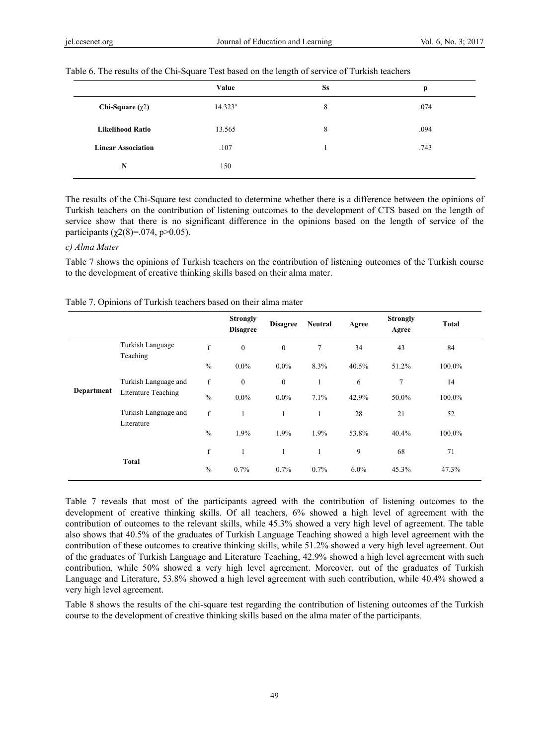|                           | Value      | <b>Ss</b> | p    |
|---------------------------|------------|-----------|------|
| Chi-Square $(\chi^2)$     | $14.323^a$ | 8         | .074 |
| <b>Likelihood Ratio</b>   | 13.565     | 8         | .094 |
| <b>Linear Association</b> | .107       |           | .743 |
| N                         | 150        |           |      |

Table 6. The results of the Chi-Square Test based on the length of service of Turkish teachers

The results of the Chi-Square test conducted to determine whether there is a difference between the opinions of Turkish teachers on the contribution of listening outcomes to the development of CTS based on the length of service show that there is no significant difference in the opinions based on the length of service of the participants ( $χ2(8)=0.074$ , p>0.05).

## *c) Alma Mater*

Table 7 shows the opinions of Turkish teachers on the contribution of listening outcomes of the Turkish course to the development of creative thinking skills based on their alma mater.

|  |  | Table 7. Opinions of Turkish teachers based on their alma mater |
|--|--|-----------------------------------------------------------------|
|--|--|-----------------------------------------------------------------|

|            |                                    |               | <b>Strongly</b><br><b>Disagree</b> | <b>Disagree</b>  | <b>Neutral</b> | Agree   | <b>Strongly</b><br>Agree | <b>Total</b> |
|------------|------------------------------------|---------------|------------------------------------|------------------|----------------|---------|--------------------------|--------------|
|            | Turkish Language<br>Teaching       | $\mathbf f$   | $\mathbf{0}$                       | $\overline{0}$   | 7              | 34      | 43                       | 84           |
|            |                                    | $\frac{0}{0}$ | $0.0\%$                            | $0.0\%$          | 8.3%           | 40.5%   | 51.2%                    | 100.0%       |
|            | Turkish Language and               | $\mathbf f$   | $\mathbf{0}$                       | $\boldsymbol{0}$ | 1              | 6       | 7                        | 14           |
| Department | Literature Teaching                | $\%$          | $0.0\%$                            | $0.0\%$          | 7.1%           | 42.9%   | 50.0%                    | 100.0%       |
|            | Turkish Language and<br>Literature | f             | 1                                  | Ι.               | л.             | 28      | 21                       | 52           |
|            |                                    | $\frac{0}{0}$ | 1.9%                               | 1.9%             | 1.9%           | 53.8%   | 40.4%                    | 100.0%       |
|            |                                    | $\mathbf f$   | $\mathbf{1}$                       | 1                | 1              | 9       | 68                       | 71           |
|            | <b>Total</b>                       | $\frac{0}{0}$ | 0.7%                               | 0.7%             | 0.7%           | $6.0\%$ | 45.3%                    | 47.3%        |

Table 7 reveals that most of the participants agreed with the contribution of listening outcomes to the development of creative thinking skills. Of all teachers, 6% showed a high level of agreement with the contribution of outcomes to the relevant skills, while 45.3% showed a very high level of agreement. The table also shows that 40.5% of the graduates of Turkish Language Teaching showed a high level agreement with the contribution of these outcomes to creative thinking skills, while 51.2% showed a very high level agreement. Out of the graduates of Turkish Language and Literature Teaching, 42.9% showed a high level agreement with such contribution, while 50% showed a very high level agreement. Moreover, out of the graduates of Turkish Language and Literature, 53.8% showed a high level agreement with such contribution, while 40.4% showed a very high level agreement.

Table 8 shows the results of the chi-square test regarding the contribution of listening outcomes of the Turkish course to the development of creative thinking skills based on the alma mater of the participants.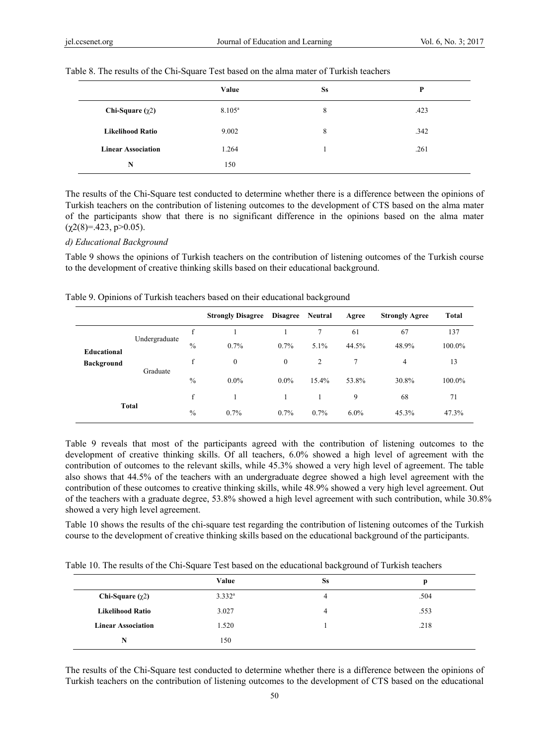|                           | Value           | <b>Ss</b> | P    |
|---------------------------|-----------------|-----------|------|
| Chi-Square $(\chi^2)$     | $8.105^{\rm a}$ | 8         | .423 |
| <b>Likelihood Ratio</b>   | 9.002           | 8         | .342 |
| <b>Linear Association</b> | 1.264           |           | .261 |
| N                         | 150             |           |      |

Table 8. The results of the Chi-Square Test based on the alma mater of Turkish teachers

The results of the Chi-Square test conducted to determine whether there is a difference between the opinions of Turkish teachers on the contribution of listening outcomes to the development of CTS based on the alma mater of the participants show that there is no significant difference in the opinions based on the alma mater  $(\gamma 2(8)=.423, p>0.05)$ .

#### *d) Educational Background*

Table 9 shows the opinions of Turkish teachers on the contribution of listening outcomes of the Turkish course to the development of creative thinking skills based on their educational background.

|  |  |  | Table 9. Opinions of Turkish teachers based on their educational background |
|--|--|--|-----------------------------------------------------------------------------|
|  |  |  |                                                                             |

|                                  |               |               | <b>Strongly Disagree</b> | <b>Disagree</b> | Neutral        | Agree          | <b>Strongly Agree</b> | <b>Total</b> |
|----------------------------------|---------------|---------------|--------------------------|-----------------|----------------|----------------|-----------------------|--------------|
| Educational<br><b>Background</b> | Undergraduate | f             |                          |                 | 7              | 61             | 67                    | 137          |
|                                  |               | $\frac{0}{0}$ | 0.7%                     | 0.7%            | 5.1%           | 44.5%          | 48.9%                 | 100.0%       |
|                                  | Graduate      | f             | $\boldsymbol{0}$         | $\mathbf{0}$    | $\overline{2}$ | $\overline{7}$ | 4                     | 13           |
|                                  |               | $\frac{0}{0}$ | $0.0\%$                  | $0.0\%$         | 15.4%          | 53.8%          | 30.8%                 | 100.0%       |
| <b>Total</b>                     |               | f             |                          |                 |                | 9              | 68                    | 71           |
|                                  |               | $\frac{0}{0}$ | 0.7%                     | 0.7%            | 0.7%           | $6.0\%$        | 45.3%                 | 47.3%        |

Table 9 reveals that most of the participants agreed with the contribution of listening outcomes to the development of creative thinking skills. Of all teachers, 6.0% showed a high level of agreement with the contribution of outcomes to the relevant skills, while 45.3% showed a very high level of agreement. The table also shows that 44.5% of the teachers with an undergraduate degree showed a high level agreement with the contribution of these outcomes to creative thinking skills, while 48.9% showed a very high level agreement. Out of the teachers with a graduate degree, 53.8% showed a high level agreement with such contribution, while 30.8% showed a very high level agreement.

Table 10 shows the results of the chi-square test regarding the contribution of listening outcomes of the Turkish course to the development of creative thinking skills based on the educational background of the participants.

Table 10. The results of the Chi-Square Test based on the educational background of Turkish teachers

|                           | Value           | <b>Ss</b>      | D    |
|---------------------------|-----------------|----------------|------|
| Chi-Square $(\chi^2)$     | $3.332^{\rm a}$ | 4              | .504 |
| <b>Likelihood Ratio</b>   | 3.027           | $\overline{4}$ | .553 |
| <b>Linear Association</b> | 1.520           |                | .218 |
| N                         | 150             |                |      |

The results of the Chi-Square test conducted to determine whether there is a difference between the opinions of Turkish teachers on the contribution of listening outcomes to the development of CTS based on the educational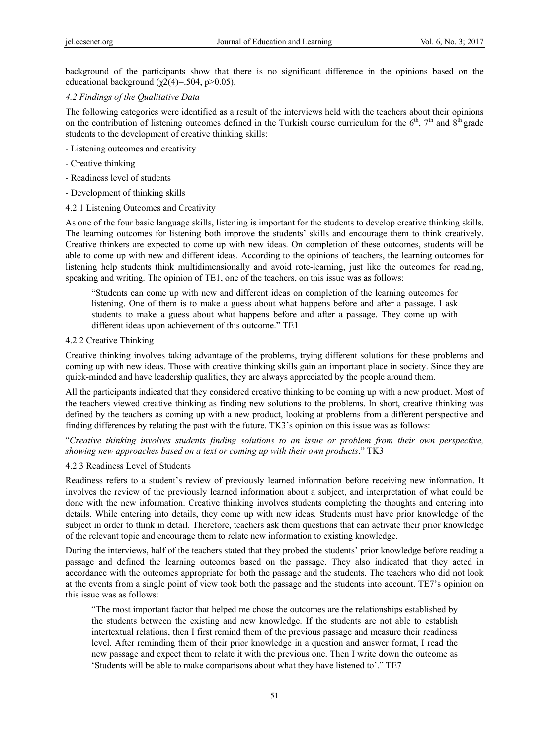background of the participants show that there is no significant difference in the opinions based on the educational background ( $\gamma$ 2(4)=.504, p>0.05).

# *4.2 Findings of the Qualitative Data*

The following categories were identified as a result of the interviews held with the teachers about their opinions on the contribution of listening outcomes defined in the Turkish course curriculum for the  $6<sup>th</sup>$ ,  $7<sup>th</sup>$  and  $8<sup>th</sup>$  grade students to the development of creative thinking skills:

- Listening outcomes and creativity
- Creative thinking
- Readiness level of students
- Development of thinking skills
- 4.2.1 Listening Outcomes and Creativity

As one of the four basic language skills, listening is important for the students to develop creative thinking skills. The learning outcomes for listening both improve the students' skills and encourage them to think creatively. Creative thinkers are expected to come up with new ideas. On completion of these outcomes, students will be able to come up with new and different ideas. According to the opinions of teachers, the learning outcomes for listening help students think multidimensionally and avoid rote-learning, just like the outcomes for reading, speaking and writing. The opinion of TE1, one of the teachers, on this issue was as follows:

"Students can come up with new and different ideas on completion of the learning outcomes for listening. One of them is to make a guess about what happens before and after a passage. I ask students to make a guess about what happens before and after a passage. They come up with different ideas upon achievement of this outcome." TE1

## 4.2.2 Creative Thinking

Creative thinking involves taking advantage of the problems, trying different solutions for these problems and coming up with new ideas. Those with creative thinking skills gain an important place in society. Since they are quick-minded and have leadership qualities, they are always appreciated by the people around them.

All the participants indicated that they considered creative thinking to be coming up with a new product. Most of the teachers viewed creative thinking as finding new solutions to the problems. In short, creative thinking was defined by the teachers as coming up with a new product, looking at problems from a different perspective and finding differences by relating the past with the future. TK3's opinion on this issue was as follows:

"*Creative thinking involves students finding solutions to an issue or problem from their own perspective, showing new approaches based on a text or coming up with their own products*." TK3

## 4.2.3 Readiness Level of Students

Readiness refers to a student's review of previously learned information before receiving new information. It involves the review of the previously learned information about a subject, and interpretation of what could be done with the new information. Creative thinking involves students completing the thoughts and entering into details. While entering into details, they come up with new ideas. Students must have prior knowledge of the subject in order to think in detail. Therefore, teachers ask them questions that can activate their prior knowledge of the relevant topic and encourage them to relate new information to existing knowledge.

During the interviews, half of the teachers stated that they probed the students' prior knowledge before reading a passage and defined the learning outcomes based on the passage. They also indicated that they acted in accordance with the outcomes appropriate for both the passage and the students. The teachers who did not look at the events from a single point of view took both the passage and the students into account. TE7's opinion on this issue was as follows:

"The most important factor that helped me chose the outcomes are the relationships established by the students between the existing and new knowledge. If the students are not able to establish intertextual relations, then I first remind them of the previous passage and measure their readiness level. After reminding them of their prior knowledge in a question and answer format, I read the new passage and expect them to relate it with the previous one. Then I write down the outcome as 'Students will be able to make comparisons about what they have listened to'." TE7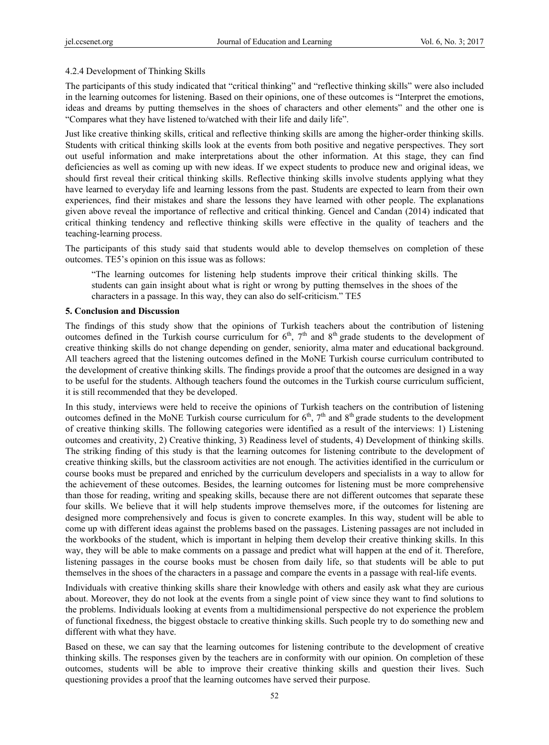# 4.2.4 Development of Thinking Skills

The participants of this study indicated that "critical thinking" and "reflective thinking skills" were also included in the learning outcomes for listening. Based on their opinions, one of these outcomes is "Interpret the emotions, ideas and dreams by putting themselves in the shoes of characters and other elements" and the other one is "Compares what they have listened to/watched with their life and daily life".

Just like creative thinking skills, critical and reflective thinking skills are among the higher-order thinking skills. Students with critical thinking skills look at the events from both positive and negative perspectives. They sort out useful information and make interpretations about the other information. At this stage, they can find deficiencies as well as coming up with new ideas. If we expect students to produce new and original ideas, we should first reveal their critical thinking skills. Reflective thinking skills involve students applying what they have learned to everyday life and learning lessons from the past. Students are expected to learn from their own experiences, find their mistakes and share the lessons they have learned with other people. The explanations given above reveal the importance of reflective and critical thinking. Gencel and Candan (2014) indicated that critical thinking tendency and reflective thinking skills were effective in the quality of teachers and the teaching-learning process.

The participants of this study said that students would able to develop themselves on completion of these outcomes. TE5's opinion on this issue was as follows:

"The learning outcomes for listening help students improve their critical thinking skills. The students can gain insight about what is right or wrong by putting themselves in the shoes of the characters in a passage. In this way, they can also do self-criticism." TE5

#### **5. Conclusion and Discussion**

The findings of this study show that the opinions of Turkish teachers about the contribution of listening outcomes defined in the Turkish course curriculum for  $6<sup>th</sup>$ ,  $7<sup>th</sup>$  and  $8<sup>th</sup>$  grade students to the development of creative thinking skills do not change depending on gender, seniority, alma mater and educational background. All teachers agreed that the listening outcomes defined in the MoNE Turkish course curriculum contributed to the development of creative thinking skills. The findings provide a proof that the outcomes are designed in a way to be useful for the students. Although teachers found the outcomes in the Turkish course curriculum sufficient, it is still recommended that they be developed.

In this study, interviews were held to receive the opinions of Turkish teachers on the contribution of listening outcomes defined in the MoNE Turkish course curriculum for  $6<sup>th</sup>$ ,  $7<sup>th</sup>$  and  $8<sup>th</sup>$  grade students to the development of creative thinking skills. The following categories were identified as a result of the interviews: 1) Listening outcomes and creativity, 2) Creative thinking, 3) Readiness level of students, 4) Development of thinking skills. The striking finding of this study is that the learning outcomes for listening contribute to the development of creative thinking skills, but the classroom activities are not enough. The activities identified in the curriculum or course books must be prepared and enriched by the curriculum developers and specialists in a way to allow for the achievement of these outcomes. Besides, the learning outcomes for listening must be more comprehensive than those for reading, writing and speaking skills, because there are not different outcomes that separate these four skills. We believe that it will help students improve themselves more, if the outcomes for listening are designed more comprehensively and focus is given to concrete examples. In this way, student will be able to come up with different ideas against the problems based on the passages. Listening passages are not included in the workbooks of the student, which is important in helping them develop their creative thinking skills. In this way, they will be able to make comments on a passage and predict what will happen at the end of it. Therefore, listening passages in the course books must be chosen from daily life, so that students will be able to put themselves in the shoes of the characters in a passage and compare the events in a passage with real-life events.

Individuals with creative thinking skills share their knowledge with others and easily ask what they are curious about. Moreover, they do not look at the events from a single point of view since they want to find solutions to the problems. Individuals looking at events from a multidimensional perspective do not experience the problem of functional fixedness, the biggest obstacle to creative thinking skills. Such people try to do something new and different with what they have.

Based on these, we can say that the learning outcomes for listening contribute to the development of creative thinking skills. The responses given by the teachers are in conformity with our opinion. On completion of these outcomes, students will be able to improve their creative thinking skills and question their lives. Such questioning provides a proof that the learning outcomes have served their purpose.